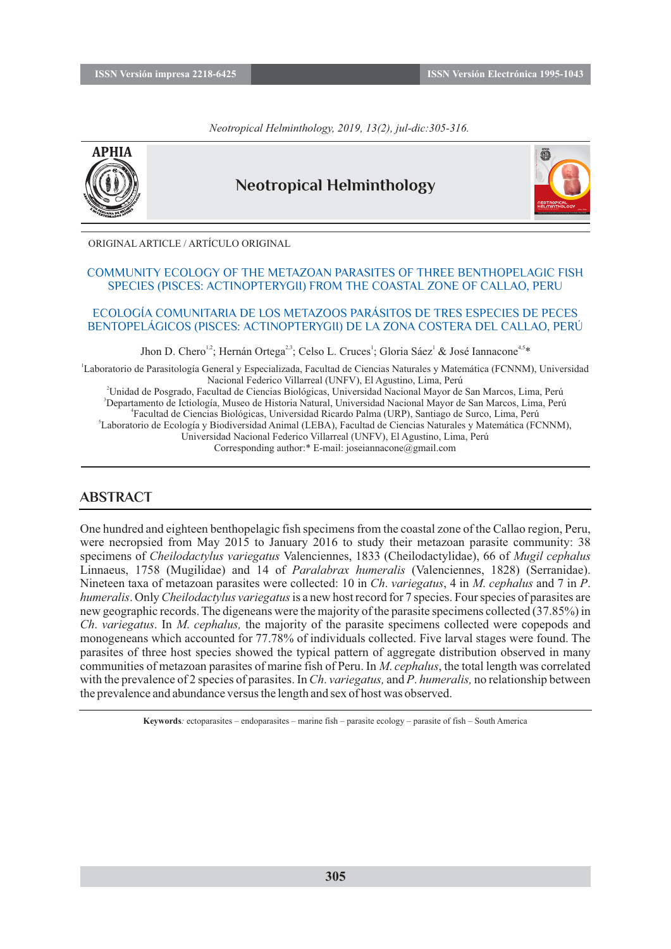*Neotropical Helminthology, 2019, 13(2), jul-dic:305-316.*



# **Neotropical Helminthology**



ORIGINAL ARTICLE / ARTÍCULO ORIGINAL

#### COMMUNITY ECOLOGY OF THE METAZOAN PARASITES OF THREE BENTHOPELAGIC FISH SPECIES (PISCES: ACTINOPTERYGII) FROM THE COASTAL ZONE OF CALLAO, PERU

#### ECOLOGÍA COMUNITARIA DE LOS METAZOOS PARÁSITOS DE TRES ESPECIES DE PECES BENTOPELÁGICOS (PISCES: ACTINOPTERYGII) DE LA ZONA COSTERA DEL CALLAO, PERÚ

Jhon D. Chero<sup>1,2</sup>; Hernán Ortega<sup>2,3</sup>; Celso L. Cruces<sup>1</sup>; Gloria Sáez<sup>1</sup> & José Iannacone<sup>4,5\*</sup>

 Laboratorio de Parasitología General y Especializada, Facultad de Ciencias Naturales y Matemática (FCNNM), Universidad Nacional Federico Villarreal (UNFV), El Agustino, Lima, Perú Unidad de Posgrado, Facultad de Ciencias Biológicas, Universidad Nacional Mayor de San Marcos, Lima, Perú Departamento de Ictiología, Museo de Historia Natural, Universidad Nacional Mayor de San Marcos, Lima, Perú Facultad de Ciencias Biológicas, Universidad Ricardo Palma (URP), Santiago de Surco, Lima, Perú Laboratorio de Ecología y Biodiversidad Animal (LEBA), Facultad de Ciencias Naturales y Matemática (FCNNM), Universidad Nacional Federico Villarreal (UNFV), El Agustino, Lima, Perú Corresponding author:\* E-mail: joseiannacone@gmail.com

## **ABSTRACT**

One hundred and eighteen benthopelagic fish specimens from the coastal zone of the Callao region, Peru, were necropsied from May 2015 to January 2016 to study their metazoan parasite community: 38 specimens of *Cheilodactylus variegatus* Valenciennes, 1833 (Cheilodactylidae), 66 of *Mugil cephalus*  Linnaeus, 1758 (Mugilidae) and 14 of *Paralabrax humeralis* (Valenciennes, 1828) (Serranidae). Nineteen taxa of metazoan parasites were collected: 10 in *Ch*. *variegatus*, 4 in *M*. *cephalus* and 7 in *P*. *humeralis*. Only *Cheilodactylus variegatus* is a new host record for 7 species. Four species of parasites are new geographic records. The digeneans were the majority of the parasite specimens collected (37.85%) in *Ch*. *variegatus*. In *M*. *cephalus,* the majority of the parasite specimens collected were copepods and monogeneans which accounted for 77.78% of individuals collected. Five larval stages were found. The parasites of three host species showed the typical pattern of aggregate distribution observed in many communities of metazoan parasites of marine fish of Peru. In *M*. *cephalus*, the total length was correlated with the prevalence of 2 species of parasites. In *Ch*. *variegatus,* and *P*. *humeralis,* no relationship between the prevalence and abundance versus the length and sex of host was observed.

**Keywords***:* ectoparasites – endoparasites – marine fish – parasite ecology – parasite of fish – South America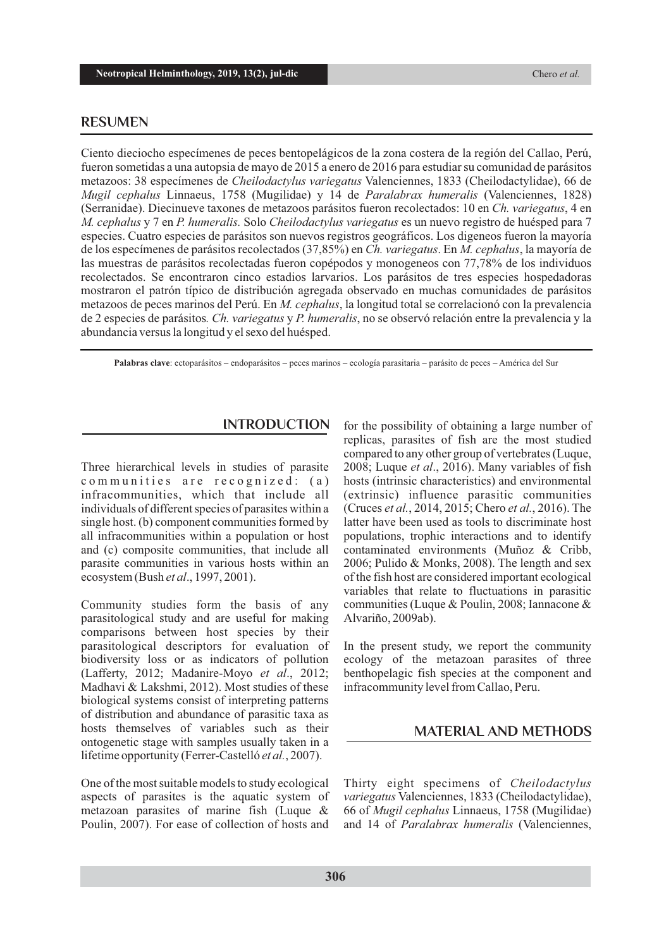# **RESUMEN**

Ciento dieciocho especímenes de peces bentopelágicos de la zona costera de la región del Callao, Perú, fueron sometidas a una autopsia de mayo de 2015 a enero de 2016 para estudiar su comunidad de parásitos metazoos: 38 especímenes de *Cheilodactylus variegatus* Valenciennes, 1833 (Cheilodactylidae), 66 de *Mugil cephalus* Linnaeus, 1758 (Mugilidae) y 14 de *Paralabrax humeralis* (Valenciennes, 1828) (Serranidae). Diecinueve taxones de metazoos parásitos fueron recolectados: 10 en *Ch. variegatus*, 4 en *M. cephalus* y 7 en *P. humeralis.* Solo *Cheilodactylus variegatus* es un nuevo registro de huésped para 7 especies. Cuatro especies de parásitos son nuevos registros geográficos. Los digeneos fueron la mayoría de los especímenes de parásitos recolectados (37,85%) en *Ch. variegatus*. En *M. cephalus*, la mayoría de las muestras de parásitos recolectadas fueron copépodos y monogeneos con 77,78% de los individuos recolectados. Se encontraron cinco estadios larvarios. Los parásitos de tres especies hospedadoras mostraron el patrón típico de distribución agregada observado en muchas comunidades de parásitos metazoos de peces marinos del Perú. En *M. cephalus*, la longitud total se correlacionó con la prevalencia de 2 especies de parásitos*. Ch. variegatus* y *P. humeralis*, no se observó relación entre la prevalencia y la abundancia versus la longitud y el sexo del huésped.

**Palabras clave**: ectoparásitos – endoparásitos – peces marinos – ecología parasitaria – parásito de peces – América del Sur

Three hierarchical levels in studies of parasite communities are recognized: (a) infracommunities, which that include all individuals of different species of parasites within a single host. (b) component communities formed by all infracommunities within a population or host and (c) composite communities, that include all parasite communities in various hosts within an ecosystem (Bush *et al*., 1997, 2001).

Community studies form the basis of any parasitological study and are useful for making comparisons between host species by their parasitological descriptors for evaluation of biodiversity loss or as indicators of pollution (Lafferty, 2012; Madanire-Moyo *et al*., 2012; Madhavi & Lakshmi, 2012). Most studies of these biological systems consist of interpreting patterns of distribution and abundance of parasitic taxa as hosts themselves of variables such as their ontogenetic stage with samples usually taken in a lifetime opportunity (Ferrer-Castelló *et al.*, 2007).

One of the most suitable models to study ecological aspects of parasites is the aquatic system of metazoan parasites of marine fish (Luque & Poulin, 2007). For ease of collection of hosts and

**INTRODUCTION** for the possibility of obtaining a large number of replicas, parasites of fish are the most studied compared to any other group of vertebrates (Luque, 2008; Luque *et al*., 2016). Many variables of fish hosts (intrinsic characteristics) and environmental (extrinsic) influence parasitic communities (Cruces *et al.*, 2014, 2015; Chero *et al.*, 2016). The latter have been used as tools to discriminate host populations, trophic interactions and to identify contaminated environments (Muñoz & Cribb, 2006; Pulido & Monks, 2008). The length and sex of the fish host are considered important ecological variables that relate to fluctuations in parasitic communities (Luque & Poulin, 2008; Iannacone & Alvariño, 2009ab).

> In the present study, we report the community ecology of the metazoan parasites of three benthopelagic fish species at the component and infracommunity level from Callao, Peru.

#### **MATERIAL AND METHODS**

Thirty eight specimens of *Cheilodactylus variegatus* Valenciennes, 1833 (Cheilodactylidae), 66 of *Mugil cephalus* Linnaeus, 1758 (Mugilidae) and 14 of *Paralabrax humeralis* (Valenciennes,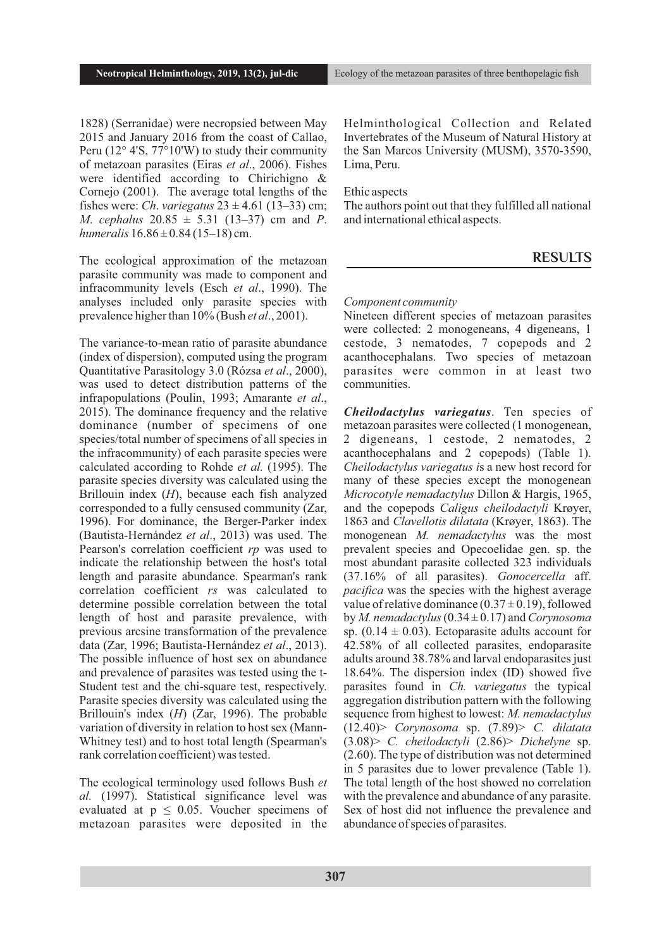1828) (Serranidae) were necropsied between May 2015 and January 2016 from the coast of Callao, Peru (12° 4'S, 77°10'W) to study their community of metazoan parasites (Eiras *et al*., 2006). Fishes were identified according to Chirichigno & Cornejo (2001). The average total lengths of the fishes were: *Ch. variegatus*  $23 \pm 4.61$  (13–33) cm; *M*. *cephalus* 20.85 ± 5.31 (13–37) cm and *P*. *humeralis*  $16.86 \pm 0.84$  (15–18) cm.

The ecological approximation of the metazoan parasite community was made to component and infracommunity levels (Esch *et al*., 1990). The analyses included only parasite species with prevalence higher than 10% (Bush *et al*., 2001).

The variance-to-mean ratio of parasite abundance (index of dispersion), computed using the program Quantitative Parasitology 3.0 (Rózsa *et al*., 2000), was used to detect distribution patterns of the infrapopulations (Poulin, 1993; Amarante *et al*., 2015). The dominance frequency and the relative dominance (number of specimens of one species/total number of specimens of all species in the infracommunity) of each parasite species were calculated according to Rohde *et al.* (1995). The parasite species diversity was calculated using the Brillouin index (*H*), because each fish analyzed corresponded to a fully censused community (Zar, 1996). For dominance, the Berger-Parker index (Bautista-Hernández *et al*., 2013) was used. The Pearson's correlation coefficient *rp* was used to indicate the relationship between the host's total length and parasite abundance. Spearman's rank correlation coefficient *rs* was calculated to determine possible correlation between the total length of host and parasite prevalence, with previous arcsine transformation of the prevalence data (Zar, 1996; Bautista-Hernández *et al*., 2013). The possible influence of host sex on abundance and prevalence of parasites was tested using the t-Student test and the chi-square test, respectively. Parasite species diversity was calculated using the Brillouin's index (*H*) (Zar, 1996). The probable variation of diversity in relation to host sex (Mann-Whitney test) and to host total length (Spearman's rank correlation coefficient) was tested.

The ecological terminology used follows Bush *et al.* (1997). Statistical significance level was evaluated at  $p \leq 0.05$ . Voucher specimens of metazoan parasites were deposited in the Helminthological Collection and Related Invertebrates of the Museum of Natural History at the San Marcos University (MUSM), 3570-3590, Lima, Peru.

Ethic aspects

The authors point out that they fulfilled all national and international ethical aspects.

### **RESULTS**

#### *Component community*

Nineteen different species of metazoan parasites were collected: 2 monogeneans, 4 digeneans, 1 cestode, 3 nematodes, 7 copepods and 2 acanthocephalans. Two species of metazoan parasites were common in at least two communities.

*Cheilodactylus variegatus*. Ten species of metazoan parasites were collected (1 monogenean, 2 digeneans, 1 cestode, 2 nematodes, 2 acanthocephalans and 2 copepods) (Table 1). *Cheilodactylus variegatus i*s a new host record for many of these species except the monogenean *Microcotyle nemadactylus* Dillon & Hargis, 1965, and the copepods *Caligus cheilodactyli* Krøyer, 1863 and *Clavellotis dilatata* (Krøyer, 1863). The monogenean *M. nemadactylus* was the most prevalent species and Opecoelidae gen. sp. the most abundant parasite collected 323 individuals (37.16% of all parasites). *Gonocercella* aff. *pacifica* was the species with the highest average value of relative dominance  $(0.37 \pm 0.19)$ , followed by *M. nemadactylus*(0.34 ± 0.17) and *Corynosoma* sp.  $(0.14 \pm 0.03)$ . Ectoparasite adults account for 42.58% of all collected parasites, endoparasite adults around 38.78% and larval endoparasites just 18.64%. The dispersion index (ID) showed five parasites found in *Ch. variegatus* the typical aggregation distribution pattern with the following sequence from highest to lowest: *M. nemadactylus* (12.40)> *Corynosoma* sp. (7.89)> *C. dilatata* (3.08)> *C. cheilodactyli* (2.86)> *Dichelyne* sp. (2.60). The type of distribution was not determined in 5 parasites due to lower prevalence (Table 1). The total length of the host showed no correlation with the prevalence and abundance of any parasite. Sex of host did not influence the prevalence and abundance of species of parasites.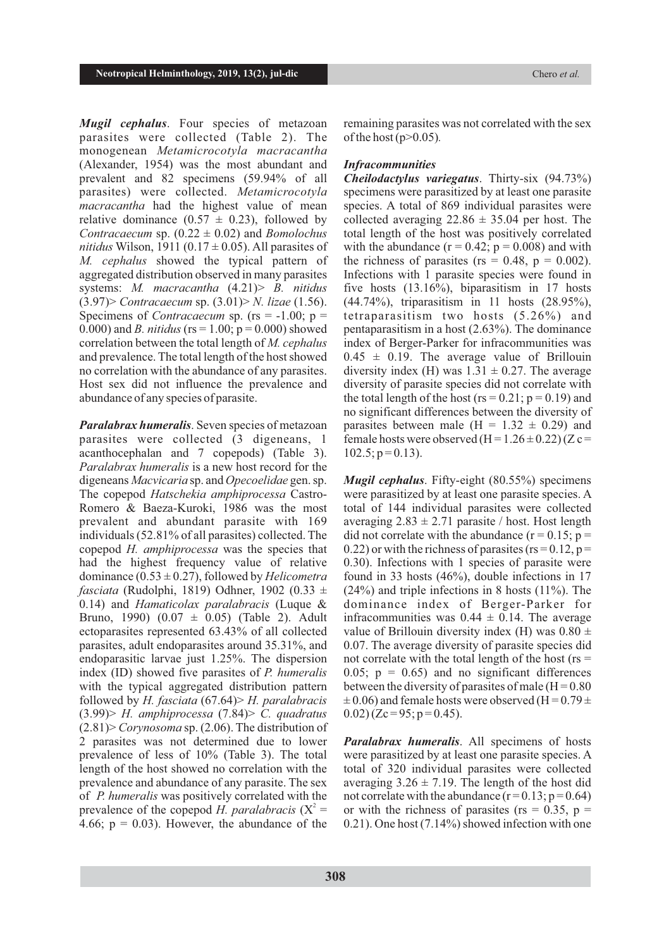*Mugil cephalus*. Four species of metazoan parasites were collected (Table 2). The monogenean *Metamicrocotyla macracantha* (Alexander, 1954) was the most abundant and prevalent and 82 specimens (59.94% of all parasites) were collected. *Metamicrocotyla macracantha* had the highest value of mean relative dominance  $(0.57 \pm 0.23)$ , followed by *Contracaecum* sp.  $(0.22 \pm 0.02)$  and *Bomolochus nitidus* Wilson, 1911 (0.17  $\pm$  0.05). All parasites of *M. cephalus* showed the typical pattern of aggregated distribution observed in many parasites systems: *M. macracantha* (4.21)> *B. nitidus* (3.97)> *Contracaecum* sp. (3.01)> *N. lizae* (1.56). Specimens of *Contracaecum* sp. (rs = -1.00; p = 0.000) and *B. nitidus* ( $rs = 1.00$ ;  $p = 0.000$ ) showed correlation between the total length of *M. cephalus* and prevalence. The total length of the host showed no correlation with the abundance of any parasites. Host sex did not influence the prevalence and abundance of any species of parasite.

*Paralabrax humeralis*. Seven species of metazoan parasites were collected (3 digeneans, 1 acanthocephalan and 7 copepods) (Table 3). *Paralabrax humeralis* is a new host record for the digeneans *Macvicaria* sp. and *Opecoelidae* gen. sp. The copepod *Hatschekia amphiprocessa* Castro-Romero & Baeza-Kuroki, 1986 was the most prevalent and abundant parasite with 169 individuals (52.81% of all parasites) collected. The copepod *H. amphiprocessa* was the species that had the highest frequency value of relative dominance (0.53 ± 0.27), followed by *Helicometra fasciata* (Rudolphi, 1819) Odhner, 1902 (0.33 ± 0.14) and *Hamaticolax paralabracis* (Luque & Bruno, 1990) (0.07 ± 0.05) (Table 2). Adult ectoparasites represented 63.43% of all collected parasites, adult endoparasites around 35.31%, and endoparasitic larvae just 1.25%. The dispersion index (ID) showed five parasites of *P. humeralis*  with the typical aggregated distribution pattern followed by *H. fasciata* (67.64)> *H. paralabracis* (3.99)> *H. amphiprocessa* (7.84)> *C. quadratus* (2.81)> *Corynosoma* sp. (2.06). The distribution of 2 parasites was not determined due to lower prevalence of less of 10% (Table 3). The total length of the host showed no correlation with the prevalence and abundance of any parasite. The sex of *P. humeralis* was positively correlated with the prevalence of the copepod *H. paralabracis*  $(X^2 =$ 4.66;  $p = 0.03$ ). However, the abundance of the

remaining parasites was not correlated with the sex of the host(p>0.05)*.*

#### *Infracommunities*

*Cheilodactylus variegatus*. Thirty-six (94.73%) specimens were parasitized by at least one parasite species. A total of 869 individual parasites were collected averaging  $22.86 \pm 35.04$  per host. The total length of the host was positively correlated with the abundance  $(r = 0.42; p = 0.008)$  and with the richness of parasites ( $rs = 0.48$ ,  $p = 0.002$ ). Infections with 1 parasite species were found in five hosts (13.16%), biparasitism in 17 hosts (44.74%), triparasitism in 11 hosts (28.95%), tetraparasitism two hosts (5.26%) and pentaparasitism in a host (2.63%). The dominance index of Berger-Parker for infracommunities was  $0.45 \pm 0.19$ . The average value of Brillouin diversity index (H) was  $1.31 \pm 0.27$ . The average diversity of parasite species did not correlate with the total length of the host ( $rs = 0.21$ ;  $p = 0.19$ ) and no significant differences between the diversity of parasites between male  $(H = 1.32 \pm 0.29)$  and female hosts were observed  $(H = 1.26 \pm 0.22)$  (Z c =  $102.5$ ;  $p = 0.13$ ).

*Mugil cephalus*. Fifty-eight (80.55%) specimens were parasitized by at least one parasite species. A total of 144 individual parasites were collected averaging  $2.83 \pm 2.71$  parasite / host. Host length did not correlate with the abundance  $(r = 0.15; p =$ 0.22) or with the richness of parasites ( $rs = 0.12$ ,  $p =$ 0.30). Infections with 1 species of parasite were found in 33 hosts (46%), double infections in 17 (24%) and triple infections in 8 hosts (11%). The dominance index of Berger-Parker for infracommunities was  $0.44 \pm 0.14$ . The average value of Brillouin diversity index (H) was  $0.80 \pm$ 0.07. The average diversity of parasite species did not correlate with the total length of the host ( $rs =$ 0.05;  $p = 0.65$ ) and no significant differences between the diversity of parasites of male  $(H = 0.80)$  $\pm$  0.06) and female hosts were observed (H = 0.79  $\pm$  $(0.02)$  (Zc = 95; p = 0.45).

*Paralabrax humeralis*. All specimens of hosts were parasitized by at least one parasite species. A total of 320 individual parasites were collected averaging  $3.26 \pm 7.19$ . The length of the host did not correlate with the abundance  $(r=0.13; p=0.64)$ or with the richness of parasites ( $rs = 0.35$ ,  $p =$ 0.21). One host (7.14%) showed infection with one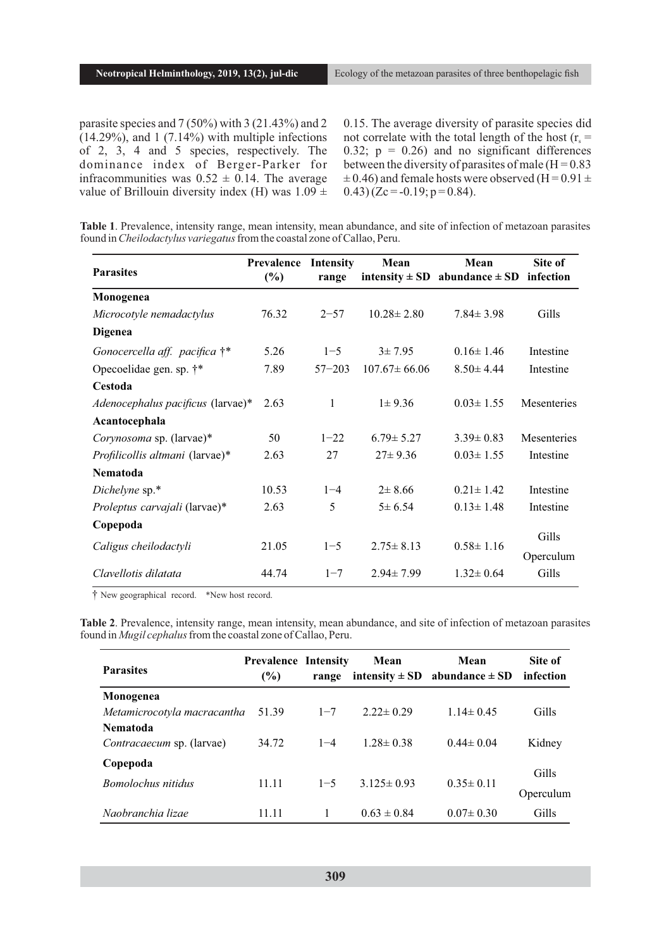parasite species and 7 (50%) with 3 (21.43%) and 2  $(14.29\%)$ , and  $1(7.14\%)$  with multiple infections of 2, 3, 4 and 5 species, respectively. The dominance index of Berger-Parker for infracommunities was  $0.52 \pm 0.14$ . The average value of Brillouin diversity index (H) was  $1.09 \pm$  0.15. The average diversity of parasite species did not correlate with the total length of the host ( $r_s$  = 0.32;  $p = 0.26$ ) and no significant differences between the diversity of parasites of male  $(H = 0.83)$  $\pm$  0.46) and female hosts were observed (H = 0.91  $\pm$  $(0.43)(Zc = -0.19; p = 0.84)$ .

**Table 1**. Prevalence, intensity range, mean intensity, mean abundance, and site of infection of metazoan parasites found in *Cheilodactylus variegatus* from the coastal zone of Callao, Peru.

| <b>Parasites</b>                       | Prevalence<br>$(\%)$ | <b>Intensity</b><br>range | Mean               | Mean<br>intensity $\pm$ SD abundance $\pm$ SD infection | Site of     |
|----------------------------------------|----------------------|---------------------------|--------------------|---------------------------------------------------------|-------------|
| Monogenea                              |                      |                           |                    |                                                         |             |
| Microcotyle nemadactylus               | 76.32                | $2 - 57$                  | $10.28 \pm 2.80$   | $7.84 \pm 3.98$                                         | Gills       |
| <b>Digenea</b>                         |                      |                           |                    |                                                         |             |
| Gonocercella aff. pacifica $\dagger^*$ | 5.26                 | $1 - 5$                   | $3 \pm 7.95$       | $0.16 \pm 1.46$                                         | Intestine   |
| Opecoelidae gen. sp. †*                | 7.89                 | $57 - 203$                | $107.67 \pm 66.06$ | $8.50 \pm 4.44$                                         | Intestine   |
| Cestoda                                |                      |                           |                    |                                                         |             |
| Adenocephalus pacificus (larvae)*      | 2.63                 | 1                         | $1 \pm 9.36$       | $0.03 \pm 1.55$                                         | Mesenteries |
| Acantocephala                          |                      |                           |                    |                                                         |             |
| Corynosoma sp. (larvae)*               | 50                   | $1 - 22$                  | $6.79 \pm 5.27$    | $3.39 \pm 0.83$                                         | Mesenteries |
| Profilicollis altmani (larvae)*        | 2.63                 | 27                        | $27 \pm 9.36$      | $0.03 \pm 1.55$                                         | Intestine   |
| Nematoda                               |                      |                           |                    |                                                         |             |
| Dichelyne sp.*                         | 10.53                | $1 - 4$                   | $2 \pm 8.66$       | $0.21 \pm 1.42$                                         | Intestine   |
| Proleptus carvajali (larvae)*          | 2.63                 | 5                         | $5 \pm 6.54$       | $0.13 \pm 1.48$                                         | Intestine   |
| Copepoda                               |                      |                           |                    |                                                         |             |
| Caligus cheilodactyli                  | 21.05                | $1 - 5$                   | $2.75 \pm 8.13$    | $0.58 \pm 1.16$                                         | Gills       |
|                                        |                      |                           |                    |                                                         | Operculum   |
| Clavellotis dilatata                   | 44.74                | $1 - 7$                   | $2.94 \pm 7.99$    | $1.32 \pm 0.64$                                         | Gills       |

† New geographical record. \*New host record.

**Table 2**. Prevalence, intensity range, mean intensity, mean abundance, and site of infection of metazoan parasites found in *Mugil cephalus*from the coastal zone of Callao, Peru.

| <b>Parasites</b>                 | <b>Prevalence Intensity</b><br>(%) | range   | Mean             | Mean<br>intensity $\pm$ SD abundance $\pm$ SD | Site of<br>infection |
|----------------------------------|------------------------------------|---------|------------------|-----------------------------------------------|----------------------|
| Monogenea                        |                                    |         |                  |                                               |                      |
| Metamicrocotyla macracantha      | 51.39                              | $1 - 7$ | $2.22 \pm 0.29$  | $1.14 \pm 0.45$                               | Gills                |
| <b>Nematoda</b>                  |                                    |         |                  |                                               |                      |
| <i>Contracaecum</i> sp. (larvae) | 34.72                              | $1 - 4$ | $1.28 \pm 0.38$  | $0.44 \pm 0.04$                               | Kidney               |
| Copepoda                         |                                    |         |                  |                                               |                      |
| <b>Bomolochus nitidus</b>        | 11.11                              | $1 - 5$ | $3.125 \pm 0.93$ | $0.35 \pm 0.11$                               | Gills                |
|                                  |                                    |         |                  |                                               | Operculum            |
| Naobranchia lizae                | 11.11                              |         | $0.63 \pm 0.84$  | $0.07 \pm 0.30$                               | Gills                |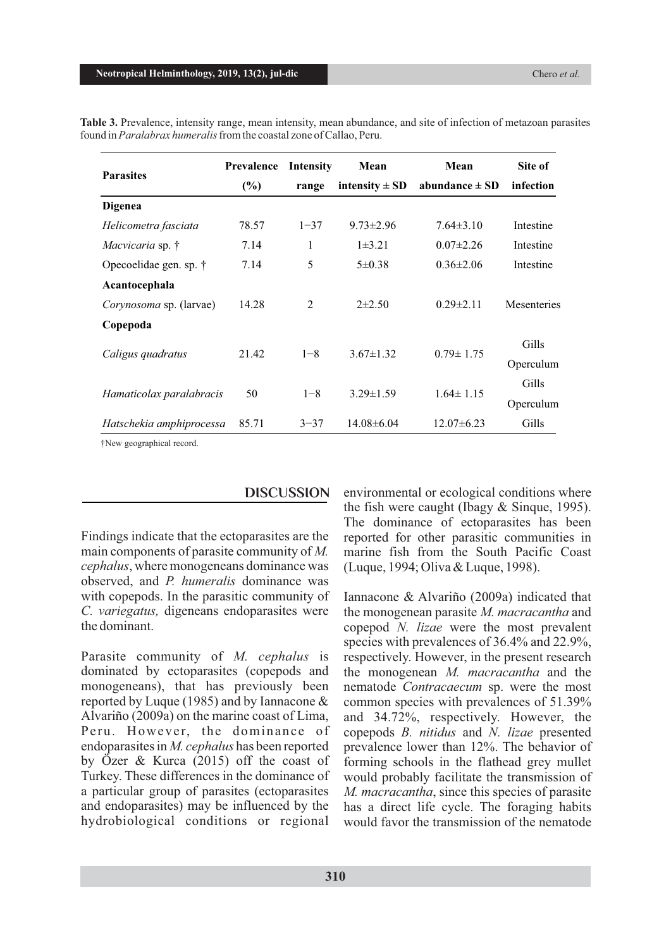| <b>Parasites</b>         | <b>Prevalence</b> | <b>Intensity</b> | Mean               | Mean               | Site of            |
|--------------------------|-------------------|------------------|--------------------|--------------------|--------------------|
|                          | $(\%)$            | range            | intensity $\pm$ SD | abundance $\pm$ SD | infection          |
| <b>Digenea</b>           |                   |                  |                    |                    |                    |
| Helicometra fasciata     | 78.57             | $1 - 37$         | $9.73 \pm 2.96$    | $7.64\pm3.10$      | Intestine          |
| Macvicaria sp. †         | 7.14              | 1                | $1\pm 3.21$        | $0.07 \pm 2.26$    | Intestine          |
| Opecoelidae gen. sp. †   | 7.14              | 5                | $5 \pm 0.38$       | $0.36 \pm 2.06$    | Intestine          |
| Acantocephala            |                   |                  |                    |                    |                    |
| Corynosoma sp. (larvae)  | 14.28             | 2                | $2\pm 2.50$        | $0.29 \pm 2.11$    | <b>Mesenteries</b> |
| Copepoda                 |                   |                  |                    |                    |                    |
| Caligus quadratus        | 21.42             | $1 - 8$          | $3.67 \pm 1.32$    | $0.79 \pm 1.75$    | Gills              |
|                          |                   |                  |                    |                    | Operculum          |
| Hamaticolax paralabracis | 50                | $1 - 8$          | $3.29 \pm 1.59$    | $1.64 \pm 1.15$    | Gills              |
|                          |                   |                  |                    |                    | Operculum          |
| Hatschekia amphiprocessa | 85.71             | $3 - 37$         | $14.08 \pm 6.04$   | $12.07\pm6.23$     | Gills              |

**Table 3.** Prevalence, intensity range, mean intensity, mean abundance, and site of infection of metazoan parasites found in *Paralabrax humeralis* from the coastal zone of Callao, Peru.

†New geographical record.

Findings indicate that the ectoparasites are the main components of parasite community of *M. cephalus*, where monogeneans dominance was observed, and *P. humeralis* dominance was with copepods. In the parasitic community of *C. variegatus,* digeneans endoparasites were the dominant.

Parasite community of *M. cephalus* is dominated by ectoparasites (copepods and monogeneans), that has previously been reported by Luque (1985) and by Iannacone & Alvariño (2009a) on the marine coast of Lima, Peru. However, the dominance of endoparasites in *M. cephalus* has been reported by Özer & Kurca (2015) off the coast of Turkey. These differences in the dominance of a particular group of parasites (ectoparasites and endoparasites) may be influenced by the hydrobiological conditions or regional

**DISCUSSION** environmental or ecological conditions where the fish were caught (Ibagy & Sinque, 1995). The dominance of ectoparasites has been reported for other parasitic communities in marine fish from the South Pacific Coast (Luque, 1994; Oliva & Luque, 1998).

> Iannacone & Alvariño (2009a) indicated that the monogenean parasite *M. macracantha* and copepod *N. lizae* were the most prevalent species with prevalences of 36.4% and 22.9%, respectively. However, in the present research the monogenean *M. macracantha* and the nematode *Contracaecum* sp. were the most common species with prevalences of 51.39% and 34.72%, respectively. However, the copepods *B. nitidus* and *N. lizae* presented prevalence lower than 12%. The behavior of forming schools in the flathead grey mullet would probably facilitate the transmission of *M. macracantha*, since this species of parasite has a direct life cycle. The foraging habits would favor the transmission of the nematode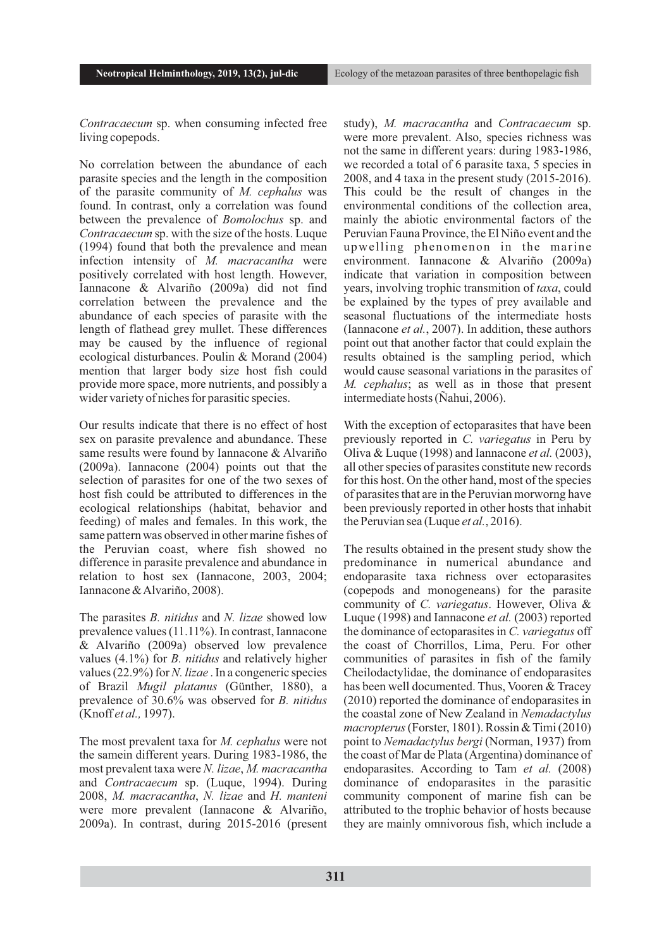*Contracaecum* sp. when consuming infected free living copepods.

No correlation between the abundance of each parasite species and the length in the composition of the parasite community of *M. cephalus* was found. In contrast, only a correlation was found between the prevalence of *Bomolochus* sp. and *Contracaecum* sp. with the size of the hosts. Luque (1994) found that both the prevalence and mean infection intensity of *M. macracantha* were positively correlated with host length. However, Iannacone & Alvariño (2009a) did not find correlation between the prevalence and the abundance of each species of parasite with the length of flathead grey mullet. These differences may be caused by the influence of regional ecological disturbances. Poulin & Morand (2004) mention that larger body size host fish could provide more space, more nutrients, and possibly a wider variety of niches for parasitic species.

Our results indicate that there is no effect of host sex on parasite prevalence and abundance. These same results were found by Iannacone & Alvariño (2009a). Iannacone (2004) points out that the selection of parasites for one of the two sexes of host fish could be attributed to differences in the ecological relationships (habitat, behavior and feeding) of males and females. In this work, the same pattern was observed in other marine fishes of the Peruvian coast, where fish showed no difference in parasite prevalence and abundance in relation to host sex (Iannacone, 2003, 2004; Iannacone & Alvariño, 2008).

The parasites *B. nitidus* and *N. lizae* showed low prevalence values (11.11%). In contrast, Iannacone & Alvariño (2009a) observed low prevalence values (4.1%) for *B. nitidus* and relatively higher values (22.9%) for *N. lizae* . In a congeneric species of Brazil *Mugil platanus* (Günther, 1880), a prevalence of 30.6% was observed for *B. nitidus* (Knoff *et al.,* 1997).

The most prevalent taxa for *M. cephalus* were not the samein different years. During 1983-1986, the most prevalent taxa were *N. lizae*, *M. macracantha* and *Contracaecum* sp. (Luque, 1994). During 2008, *M. macracantha*, *N. lizae* and *H. manteni* were more prevalent (Iannacone & Alvariño, 2009a). In contrast, during 2015-2016 (present study), *M. macracantha* and *Contracaecum* sp. were more prevalent. Also, species richness was not the same in different years: during 1983-1986, we recorded a total of 6 parasite taxa, 5 species in 2008, and 4 taxa in the present study (2015-2016). This could be the result of changes in the environmental conditions of the collection area, mainly the abiotic environmental factors of the Peruvian Fauna Province, the El Niño event and the upwelling phenomenon in the marine environment. Iannacone & Alvariño (2009a) indicate that variation in composition between years, involving trophic transmition of *taxa*, could be explained by the types of prey available and seasonal fluctuations of the intermediate hosts (Iannacone *et al.*, 2007). In addition, these authors point out that another factor that could explain the results obtained is the sampling period, which would cause seasonal variations in the parasites of *M. cephalus*; as well as in those that present intermediate hosts (Ñahui, 2006).

With the exception of ectoparasites that have been previously reported in *C. variegatus* in Peru by Oliva & Luque (1998) and Iannacone *et al.* (2003), all other species of parasites constitute new records for this host. On the other hand, most of the species of parasites that are in the Peruvian morworng have been previously reported in other hosts that inhabit the Peruvian sea (Luque *et al.*, 2016).

The results obtained in the present study show the predominance in numerical abundance and endoparasite taxa richness over ectoparasites (copepods and monogeneans) for the parasite community of *C. variegatus*. However, Oliva & Luque (1998) and Iannacone *et al.* (2003) reported the dominance of ectoparasites in *C. variegatus* off the coast of Chorrillos, Lima, Peru. For other communities of parasites in fish of the family Cheilodactylidae, the dominance of endoparasites has been well documented. Thus, Vooren & Tracey (2010) reported the dominance of endoparasites in the coastal zone of New Zealand in *Nemadactylus macropterus*(Forster, 1801). Rossin & Timi (2010) point to *Nemadactylus bergi* (Norman, 1937) from the coast of Mar de Plata (Argentina) dominance of endoparasites. According to Tam *et al.* (2008) dominance of endoparasites in the parasitic community component of marine fish can be attributed to the trophic behavior of hosts because they are mainly omnivorous fish, which include a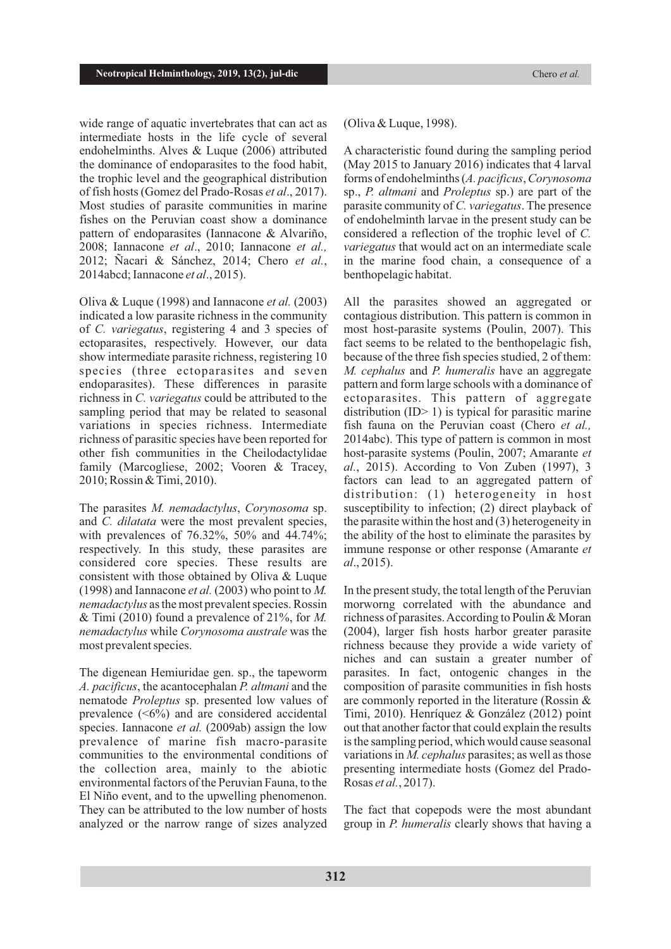wide range of aquatic invertebrates that can act as intermediate hosts in the life cycle of several endohelminths. Alves & Luque (2006) attributed the dominance of endoparasites to the food habit, the trophic level and the geographical distribution of fish hosts (Gomez del Prado-Rosas *et al*., 2017). Most studies of parasite communities in marine fishes on the Peruvian coast show a dominance pattern of endoparasites (Iannacone & Alvariño, 2008; Iannacone *et al*., 2010; Iannacone *et al.,* 2012; Ñacari & Sánchez, 2014; Chero *et al.*, 2014abcd; Iannacone *et al*., 2015).

Oliva & Luque (1998) and Iannacone *et al.* (2003) indicated a low parasite richness in the community of *C. variegatus*, registering 4 and 3 species of ectoparasites, respectively. However, our data show intermediate parasite richness, registering 10 species (three ectoparasites and seven endoparasites). These differences in parasite richness in *C. variegatus* could be attributed to the sampling period that may be related to seasonal variations in species richness. Intermediate richness of parasitic species have been reported for other fish communities in the Cheilodactylidae family (Marcogliese, 2002; Vooren & Tracey, 2010; Rossin & Timi, 2010).

The parasites *M. nemadactylus*, *Corynosoma* sp. and *C. dilatata* were the most prevalent species, with prevalences of 76.32%, 50% and 44.74%; respectively. In this study, these parasites are considered core species. These results are consistent with those obtained by Oliva & Luque (1998) and Iannacone *et al.* (2003) who point to *M. nemadactylus* as the most prevalent species. Rossin & Timi (2010) found a prevalence of 21%, for *M. nemadactylus* while *Corynosoma australe* was the most prevalent species.

The digenean Hemiuridae gen. sp., the tapeworm *A. pacificus*, the acantocephalan *P. altmani* and the nematode *Proleptus* sp. presented low values of prevalence  $(50\%)$  and are considered accidental species. Iannacone *et al.* (2009ab) assign the low prevalence of marine fish macro-parasite communities to the environmental conditions of the collection area, mainly to the abiotic environmental factors of the Peruvian Fauna, to the El Niño event, and to the upwelling phenomenon. They can be attributed to the low number of hosts analyzed or the narrow range of sizes analyzed

#### (Oliva & Luque, 1998).

A characteristic found during the sampling period (May 2015 to January 2016) indicates that 4 larval forms of endohelminths (*A. pacificus*, *Corynosoma* sp., *P. altmani* and *Proleptus* sp.) are part of the parasite community of *C. variegatus*. The presence of endohelminth larvae in the present study can be considered a reflection of the trophic level of *C. variegatus* that would act on an intermediate scale in the marine food chain, a consequence of a benthopelagic habitat.

All the parasites showed an aggregated or contagious distribution. This pattern is common in most host-parasite systems (Poulin, 2007). This fact seems to be related to the benthopelagic fish, because of the three fish species studied, 2 of them: *M. cephalus* and *P. humeralis* have an aggregate pattern and form large schools with a dominance of ectoparasites. This pattern of aggregate distribution (ID> 1) is typical for parasitic marine fish fauna on the Peruvian coast (Chero *et al.,* 2014abc). This type of pattern is common in most host-parasite systems (Poulin, 2007; Amarante *et al.*, 2015). According to Von Zuben (1997), 3 factors can lead to an aggregated pattern of distribution: (1) heterogeneity in host susceptibility to infection; (2) direct playback of the parasite within the host and (3) heterogeneity in the ability of the host to eliminate the parasites by immune response or other response (Amarante *et al*., 2015).

In the present study, the total length of the Peruvian morworng correlated with the abundance and richness of parasites. According to Poulin & Moran (2004), larger fish hosts harbor greater parasite richness because they provide a wide variety of niches and can sustain a greater number of parasites. In fact, ontogenic changes in the composition of parasite communities in fish hosts are commonly reported in the literature (Rossin & Timi, 2010). Henríquez & González (2012) point out that another factor that could explain the results is the sampling period, which would cause seasonal variations in *M. cephalus* parasites; as well as those presenting intermediate hosts (Gomez del Prado-Rosas *et al.*, 2017).

The fact that copepods were the most abundant group in *P. humeralis* clearly shows that having a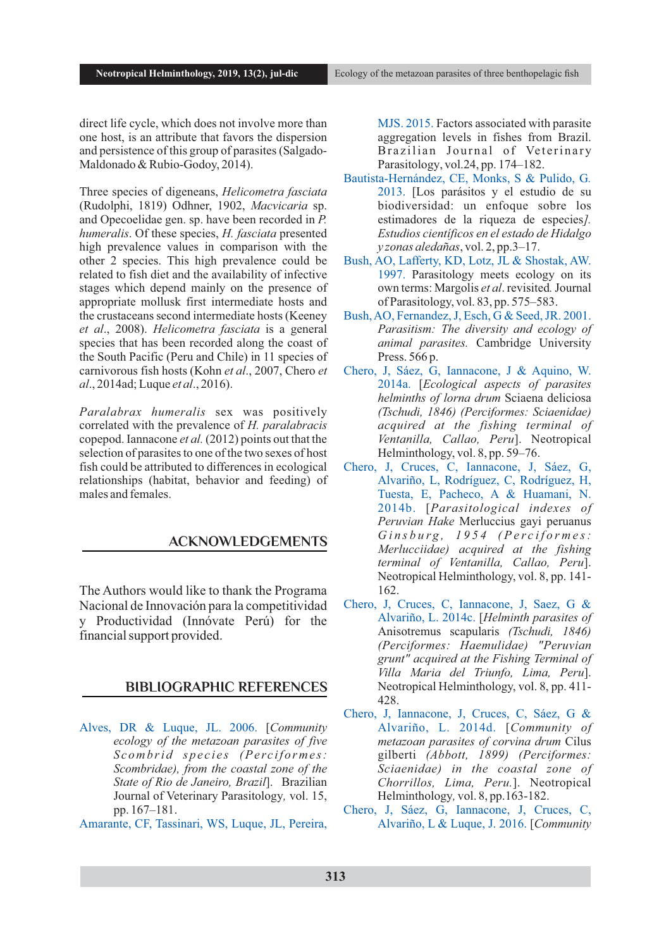direct life cycle, which does not involve more than one host, is an attribute that favors the dispersion and persistence of this group of parasites (Salgado-Maldonado & Rubio-Godoy, 2014).

Three species of digeneans, *Helicometra fasciata* (Rudolphi, 1819) Odhner, 1902, *Macvicaria* sp. and Opecoelidae gen. sp. have been recorded in *P. humeralis*. Of these species, *H. fasciata* presented high prevalence values in comparison with the other 2 species. This high prevalence could be related to fish diet and the availability of infective stages which depend mainly on the presence of appropriate mollusk first intermediate hosts and the crustaceans second intermediate hosts (Keeney *et al*., 2008). *Helicometra fasciata* is a general species that has been recorded along the coast of the South Pacific (Peru and Chile) in 11 species of carnivorous fish hosts (Kohn *et al*., 2007, Chero *et al*., 2014ad; Luque *et al*., 2016).

*Paralabrax humeralis* sex was positively correlated with the prevalence of *H. paralabracis* copepod. Iannacone *et al.* (2012) points out that the selection of parasites to one of the two sexes of host fish could be attributed to differences in ecological relationships (habitat, behavior and feeding) of males and females.

## **ACKNOWLEDGEMENTS**

The Authors would like to thank the Programa Nacional de Innovación para la competitividad y Productividad (Innóvate Perú) for the financial support provided.

### **BIBLIOGRAPHIC REFERENCES**

- Alves, DR & Luque, JL. 2006. [*Community ecology of the metazoan parasites of five S c omb ri d s p e c i e s (Pe rc if o rme s: Scombridae), from the coastal zone of the State of Rio de Janeiro, Brazil*]. Brazilian Journal of Veterinary Parasitology*,* vol. 15, pp. 167–181.
- Amarante, CF, Tassinari, WS, Luque, JL, Pereira,

MJS. 2015. Factors associated with parasite aggregation levels in fishes from Brazil. Brazilian Journal of Veterinary Parasitology, vol.24, pp. 174–182.

- Bautista-Hernández, CE, Monks, S & Pulido, G*.* 2013. [Los parásitos y el estudio de su biodiversidad: un enfoque sobre los estimadores de la riqueza de especies*]. Estudios científicos en el estado de Hidalgo y zonas aledañas*, vol. 2, pp.3–17.
- Bush, AO, Lafferty, KD, Lotz, JL & Shostak, AW. 1997. Parasitology meets ecology on its own terms: Margolis *et al*. revisited*.* Journal of Parasitology, vol. 83, pp. 575–583.
- Bush, AO, Fernandez, J, Esch, G & Seed, JR. 2001. *Parasitism: The diversity and ecology of animal parasites.* Cambridge University Press. 566 p.
- Chero, J, Sáez, G, Iannacone, J & Aquino, W. 2014a. [*Ecological aspects of parasites helminths of lorna drum* Sciaena deliciosa *(Tschudi, 1846) (Perciformes: Sciaenidae) acquired at the fishing terminal of Ventanilla, Callao, Peru*]. Neotropical Helminthology, vol. 8, pp. 59–76.
- Chero, J, Cruces, C, Iannacone, J, Sáez, G, Alvariño, L, Rodríguez, C, Rodríguez, H, Tuesta, E, Pacheco, A & Huamani, N. 2014b. [*Parasitological indexes of Peruvian Hake* Merluccius gayi peruanus Ginsburg, 1954 (Perciformes: *Merlucciidae) acquired at the fishing terminal of Ventanilla, Callao, Peru*]. Neotropical Helminthology, vol. 8, pp. 141- 162.
- Chero, J, Cruces, C, Iannacone, J, Saez, G & Alvariño, L. 2014c. [*Helminth parasites of*  Anisotremus scapularis *(Tschudi, 1846) (Perciformes: Haemulidae) "Peruvian grunt" acquired at the Fishing Terminal of Villa Maria del Triunfo, Lima, Peru*]. Neotropical Helminthology, vol. 8, pp. 411- 428.
- Chero, J, Iannacone, J, Cruces, C, Sáez, G & Alvariño, L. 2014d. [*Community of metazoan parasites of corvina drum* Cilus gilberti *(Abbott, 1899) (Perciformes: Sciaenidae) in the coastal zone of Chorrillos, Lima, Peru.*]. Neotropical Helminthology*,* vol. 8, pp.163-182.
- Chero, J, Sáez, G, Iannacone, J, Cruces, C, Alvariño, L & Luque, J. 2016. [*Community*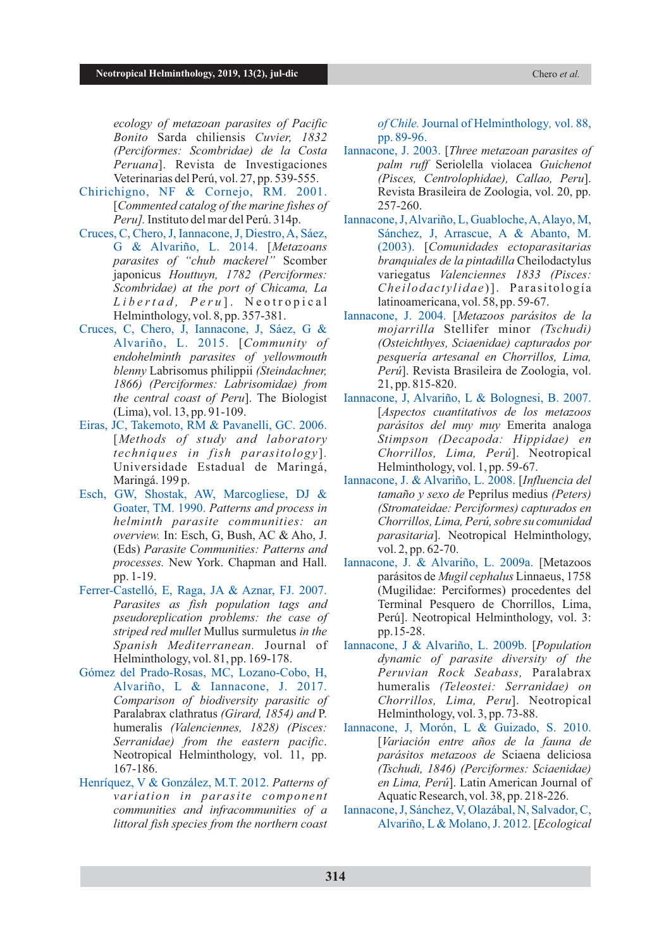*ecology of metazoan parasites of Pacific Bonito* Sarda chiliensis *Cuvier, 1832 (Perciformes: Scombridae) de la Costa Peruana*]. Revista de Investigaciones Veterinarias del Perú, vol. 27, pp. 539-555.

- Chirichigno, NF & Cornejo, RM. 2001. [*Commented catalog of the marine fishes of Peru].* Instituto del mar del Perú. 314p.
- Cruces, C, Chero, J, Iannacone, J, Diestro, A, Sáez, G & Alvariño, L. 2014. [*Metazoans parasites of "chub mackerel"* Scomber japonicus *Houttuyn, 1782 (Perciformes: Scombridae) at the port of Chicama, La L i b e rt a d , P e r u* ] . N e o t r o p i c a l Helminthology, vol. 8, pp. 357-381.
- Cruces, C, Chero, J, Iannacone, J, Sáez, G & Alvariño, L. 2015. [*Community of endohelminth parasites of yellowmouth blenny* Labrisomus philippii *(Steindachner, 1866) (Perciformes: Labrisomidae) from the central coast of Peru*]. The Biologist (Lima), vol. 13, pp. 91-109.
- Eiras, JC, Takemoto, RM & Pavanelli, GC. 2006. [*Methods of study and laboratory techniques in fish parasitology*]*.* Universidade Estadual de Maringá, Maringá. 199 p.
- Esch, GW, Shostak, AW, Marcogliese, DJ & Goater, TM. 1990. *Patterns and process in helminth parasite communities: an overview.* In: Esch, G, Bush, AC & Aho, J. (Eds) *Parasite Communities: Patterns and processes.* New York. Chapman and Hall. pp. 1-19.
- Ferrer-Castelló, E, Raga, JA & Aznar, FJ. 2007. *Parasites as fish population tags and pseudoreplication problems: the case of striped red mullet* Mullus surmuletus *in the Spanish Mediterranean.* Journal of Helminthology, vol. 81, pp. 169-178.
- Gómez del Prado-Rosas, MC, Lozano-Cobo, H, Alvariño, L & Iannacone, J. 2017. *Comparison of biodiversity parasitic of*  Paralabrax clathratus *(Girard, 1854) and* P. humeralis *(Valenciennes, 1828) (Pisces: Serranidae) from the eastern pacific*. Neotropical Helminthology, vol. 11, pp. 167-186.
- Henríquez, V & González, M.T. 2012. *Patterns of variation in parasite component communities and infracommunities of a littoral fish species from the northern coast*

*of Chile.* Journal of Helminthology*,* vol. 88, pp. 89-96.

- Iannacone, J. 2003. [*Three metazoan parasites of palm ruff* Seriolella violacea *Guichenot (Pisces, Centrolophidae), Callao, Peru*]. Revista Brasileira de Zoologia, vol. 20, pp. 257-260.
- Iannacone, J, Alvariño, L, Guabloche, A, Alayo, M, Sánchez, J, Arrascue, A & Abanto, M. (2003). [*Comunidades ectoparasitarias branquiales de la pintadilla* Cheilodactylus variegatus *Valenciennes 1833 (Pisces: Che ilodac t y lidae* )]. Pa r a sitologí a latinoamericana, vol. 58, pp. 59-67.
- Iannacone, J. 2004. [*Metazoos parásitos de la mojarrilla* Stellifer minor *(Tschudi) (Osteichthyes, Sciaenidae) capturados por pesquería artesanal en Chorrillos, Lima, Perú*]. Revista Brasileira de Zoologia, vol. 21, pp. 815-820.
- Iannacone, J, Alvariño, L & Bolognesi, B. 2007. [*Aspectos cuantitativos de los metazoos parásitos del muy muy* Emerita analoga *Stimpson (Decapoda: Hippidae) en Chorrillos, Lima, Perú*]. Neotropical Helminthology, vol. 1, pp. 59-67.
- Iannacone, J. & Alvariño, L. 2008. [*Influencia del tamaño y sexo de* Peprilus medius *(Peters) (Stromateidae: Perciformes) capturados en Chorrillos, Lima, Perú, sobre su comunidad parasitaria*]. Neotropical Helminthology, vol. 2, pp. 62-70.
- Iannacone, J. & Alvariño, L. 2009a. [Metazoos parásitos de *Mugil cephalus* Linnaeus, 1758 (Mugilidae: Perciformes) procedentes del Terminal Pesquero de Chorrillos, Lima, Perú]. Neotropical Helminthology, vol. 3: pp.15-28.
- Iannacone, J & Alvariño, L. 2009b. [*Population dynamic of parasite diversity of the Peruvian Rock Seabass,* Paralabrax humeralis *(Teleostei: Serranidae) on Chorrillos, Lima, Peru*]. Neotropical Helminthology, vol. 3, pp. 73-88.
- Iannacone, J, Morón, L & Guizado, S. 2010. [*Variación entre años de la fauna de parásitos metazoos de* Sciaena deliciosa *(Tschudi, 1846) (Perciformes: Sciaenidae) en Lima, Perú*]. Latin American Journal of Aquatic Research, vol. 38, pp. 218-226.
- Iannacone, J, Sánchez, V, Olazábal, N, Salvador, C, Alvariño, L & Molano, J. 2012. [*Ecological*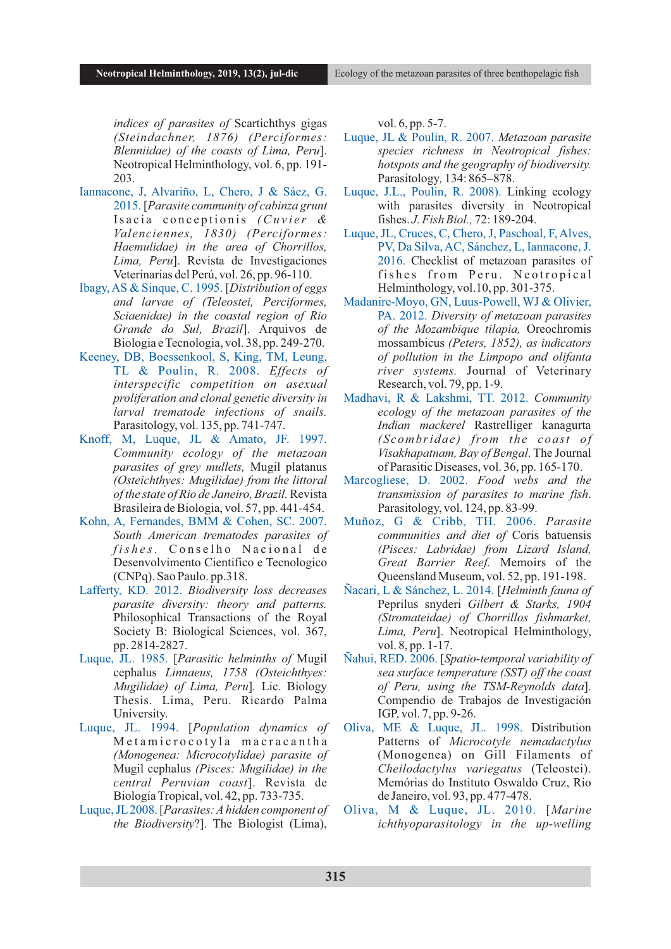*indices of parasites of* Scartichthys gigas *(Steindachner, 1876) (Perciformes: Blenniidae) of the coasts of Lima, Peru*]. Neotropical Helminthology, vol. 6, pp. 191- 203.

- Iannacone, J, Alvariño, L, Chero, J & Sáez, G. 2015. [*Parasite community of cabinza grunt*  Isacia conceptionis *(Cuvier & Valenciennes, 1830) (Perciformes: Haemulidae) in the area of Chorrillos, Lima, Peru*]. Revista de Investigaciones Veterinarias del Perú, vol. 26, pp. 96-110.
- Ibagy, AS & Sinque, C. 1995. [*Distribution of eggs and larvae of (Teleostei, Perciformes, Sciaenidae) in the coastal region of Rio Grande do Sul, Brazil*]. Arquivos de Biologia e Tecnologia, vol. 38, pp. 249-270.
- Keeney, DB, Boessenkool, S, King, TM, Leung, TL & Poulin, R. 2008. *Effects of interspecific competition on asexual proliferation and clonal genetic diversity in larval trematode infections of snails.* Parasitology, vol. 135, pp. 741-747.
- Knoff, M, Luque, JL & Amato, JF. 1997. *Community ecology of the metazoan parasites of grey mullets,* Mugil platanus *(Osteichthyes: Mugilidae) from the littoral of the state of Rio de Janeiro, Brazil.*Revista Brasileira de Biologia, vol. 57, pp. 441-454.
- Kohn, A, Fernandes, BMM & Cohen, SC. 2007. *South American trematodes parasites of f is h e s.* C o n s e l h o N a c i o n a l d e Desenvolvimento Cientifico e Tecnologico (CNPq). Sao Paulo. pp.318.
- Lafferty, KD. 2012. *Biodiversity loss decreases parasite diversity: theory and patterns.* Philosophical Transactions of the Royal Society B: Biological Sciences, vol. 367, pp. 2814-2827.
- Luque, JL. 1985. [*Parasitic helminths of* Mugil cephalus *Linnaeus, 1758 (Osteichthyes: Mugilidae) of Lima, Peru*]*.* Lic. Biology Thesis. Lima, Peru. Ricardo Palma University.
- Luque, JL. 1994. [*Population dynamics of* Metamicrocotyla macracantha *(Monogenea: Microcotylidae) parasite of*  Mugil cephalus *(Pisces: Mugilidae) in the central Peruvian coast*]. Revista de Biología Tropical, vol. 42, pp. 733-735.
- Luque, JL2008. [*Parasites: Ahidden component of the Biodiversity*?]. The Biologist (Lima),

vol. 6, pp. 5-7.

- Luque, JL & Poulin, R. 2007. *Metazoan parasite species richness in Neotropical fishes: hotspots and the geography of biodiversity.* Parasitology*,* 134: 865–878.
- Luque, J.L., Poulin, R. 2008). Linking ecology with parasites diversity in Neotropical fishes. *J. Fish Biol.,* 72: 189-204.
- Luque, JL, Cruces, C, Chero, J, Paschoal, F, Alves, PV, Da Silva, AC, Sánchez, L, Iannacone, J. 2016. Checklist of metazoan parasites of fishes from Peru. Neotropical Helminthology, vol.10, pp. 301-375.
- Madanire-Moyo, GN, Luus-Powell, WJ & Olivier, PA. 2012. *Diversity of metazoan parasites of the Mozambique tilapia,* Oreochromis mossambicus *(Peters, 1852), as indicators of pollution in the Limpopo and olifanta river systems.* Journal of Veterinary Research, vol. 79, pp. 1-9.
- Madhavi, R & Lakshmi, TT. 2012. *Community ecology of the metazoan parasites of the Indian mackerel* Rastrelliger kanagurta *(Scombridae ) from the coast of Visakhapatnam, Bay of Bengal*. The Journal of Parasitic Diseases, vol. 36, pp. 165-170.
- Marcogliese, D. 2002. *Food webs and the transmission of parasites to marine fish*. Parasitology, vol. 124, pp. 83-99.
- Muñoz, G & Cribb, TH. 2006. *Parasite communities and diet of* Coris batuensis *(Pisces: Labridae) from Lizard Island, Great Barrier Reef.* Memoirs of the Queensland Museum, vol. 52, pp. 191-198.
- Ñacari, L & Sánchez, L. 2014. [*Helminth fauna of*  Peprilus snyderi *Gilbert & Starks, 1904 (Stromateidae) of Chorrillos fishmarket, Lima, Peru*]. Neotropical Helminthology, vol. 8, pp. 1-17.
- Ñahui, RED. 2006. [*Spatio-temporal variability of sea surface temperature (SST) off the coast of Peru, using the TSM-Reynolds data*]. Compendio de Trabajos de Investigación IGP, vol. 7, pp. 9-26.
- Oliva, ME & Luque, JL. 1998. Distribution Patterns of *Microcotyle nemadactylus* (Monogenea) on Gill Filaments of *Cheilodactylus variegatus* (Teleostei). Memórias do Instituto Oswaldo Cruz, Rio de Janeiro, vol. 93, pp. 477-478.
- Oliva, M & Luque, JL. 2010. [*Marine ichthyoparasitology in the up-welling*